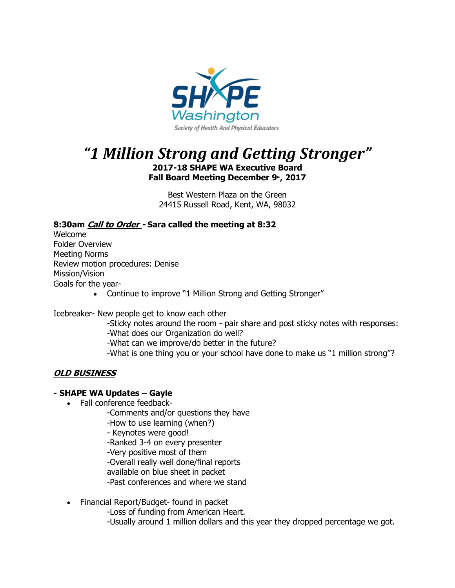

# *"1 Million Strong and Getting Stronger"*

**2017-18 SHAPE WA Executive Board Fall Board Meeting December 9th, 2017**

Best Western Plaza on the Green 24415 Russell Road, Kent, WA, 98032

# **8:30am Call to Order - Sara called the meeting at 8:32**

Welcome Folder Overview Meeting Norms Review motion procedures: Denise Mission/Vision Goals for the year-

• Continue to improve "1 Million Strong and Getting Stronger"

Icebreaker- New people get to know each other

-Sticky notes around the room - pair share and post sticky notes with responses:

-What does our Organization do well?

-What can we improve/do better in the future?

-What is one thing you or your school have done to make us "1 million strong"?

# **OLD BUSINESS**

## **- SHAPE WA Updates – Gayle**

- Fall conference feedback-
	- -Comments and/or questions they have -How to use learning (when?)
	- Keynotes were good!
	- -Ranked 3-4 on every presenter
	- -Very positive most of them
	- -Overall really well done/final reports
	- available on blue sheet in packet
	- -Past conferences and where we stand
- Financial Report/Budget- found in packet
	- -Loss of funding from American Heart.
	- -Usually around 1 million dollars and this year they dropped percentage we got.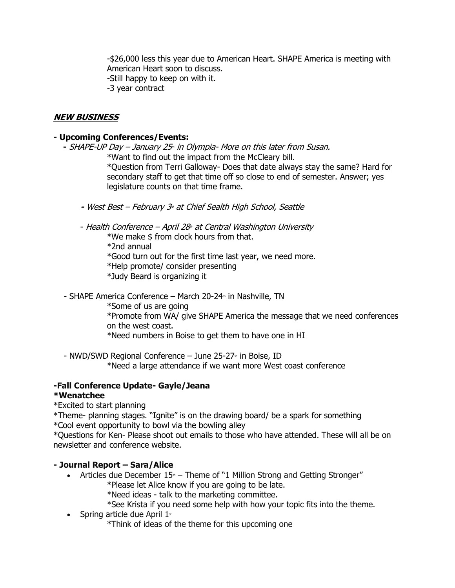-\$26,000 less this year due to American Heart. SHAPE America is meeting with American Heart soon to discuss. -Still happy to keep on with it. -3 year contract

# **NEW BUSINESS**

## **- Upcoming Conferences/Events:**

- SHAPE-UP Day – January 25<sub>th</sub> in Olympia- More on this later from Susan.

\*Want to find out the impact from the McCleary bill.

\*Question from Terri Galloway- Does that date always stay the same? Hard for secondary staff to get that time off so close to end of semester. Answer; yes legislature counts on that time frame.

- **-** West Best February 3<sub>ª</sub> at Chief Sealth High School, Seattle
- Health Conference April 28<sup>th</sup> at Central Washington University

\*We make \$ from clock hours from that.

- \*2nd annual
- \*Good turn out for the first time last year, we need more.
- \*Help promote/ consider presenting
- \*Judy Beard is organizing it
- SHAPE America Conference March 20-24 $n$  in Nashville, TN
	- \*Some of us are going

\*Promote from WA/ give SHAPE America the message that we need conferences on the west coast.

\*Need numbers in Boise to get them to have one in HI

- NWD/SWD Regional Conference  $-$  June 25-27<sup>th</sup> in Boise, ID \*Need a large attendance if we want more West coast conference

## **-Fall Conference Update- Gayle/Jeana**

## **\*Wenatchee**

\*Excited to start planning

\*Theme- planning stages. "Ignite" is on the drawing board/ be a spark for something

\*Cool event opportunity to bowl via the bowling alley

\*Questions for Ken- Please shoot out emails to those who have attended. These will all be on newsletter and conference website.

## **- Journal Report – Sara/Alice**

- Articles due December  $15<sup>n</sup>$  Theme of "1 Million Strong and Getting Stronger" \*Please let Alice know if you are going to be late.
	- \*Need ideas talk to the marketing committee.
	- \*See Krista if you need some help with how your topic fits into the theme.
- Spring article due April  $1$ <sup>st</sup>
	- \*Think of ideas of the theme for this upcoming one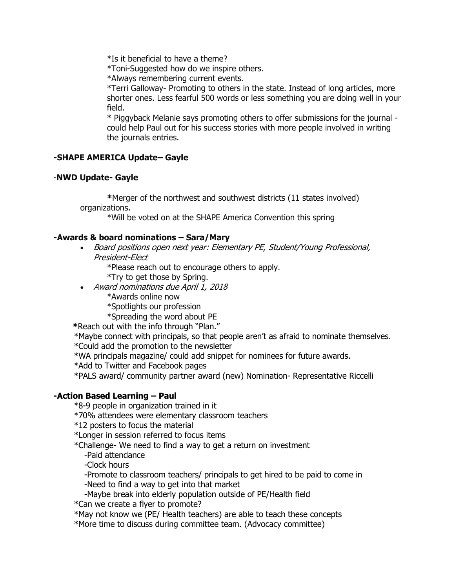\*Is it beneficial to have a theme?

\*Toni-Suggested how do we inspire others.

\*Always remembering current events.

\*Terri Galloway- Promoting to others in the state. Instead of long articles, more shorter ones. Less fearful 500 words or less something you are doing well in your field.

\* Piggyback Melanie says promoting others to offer submissions for the journal could help Paul out for his success stories with more people involved in writing the journals entries.

## **-SHAPE AMERICA Update– Gayle**

## -**NWD Update- Gayle**

**\***Merger of the northwest and southwest districts (11 states involved) organizations.

\*Will be voted on at the SHAPE America Convention this spring

#### **-Awards & board nominations – Sara/Mary**

• Board positions open next year: Elementary PE, Student/Young Professional, President-Elect

\*Please reach out to encourage others to apply.

\*Try to get those by Spring.

• Award nominations due April 1, 2018

\*Awards online now

\*Spotlights our profession

\*Spreading the word about PE

**\***Reach out with the info through "Plan."

\*Maybe connect with principals, so that people aren't as afraid to nominate themselves.

\*Could add the promotion to the newsletter

\*WA principals magazine/ could add snippet for nominees for future awards.

\*Add to Twitter and Facebook pages

\*PALS award/ community partner award (new) Nomination- Representative Riccelli

## **-Action Based Learning – Paul**

\*8-9 people in organization trained in it

\*70% attendees were elementary classroom teachers

\*12 posters to focus the material

\*Longer in session referred to focus items

\*Challenge- We need to find a way to get a return on investment

-Paid attendance

-Clock hours

-Promote to classroom teachers/ principals to get hired to be paid to come in -Need to find a way to get into that market

-Maybe break into elderly population outside of PE/Health field

\*Can we create a flyer to promote?

\*May not know we (PE/ Health teachers) are able to teach these concepts

\*More time to discuss during committee team. (Advocacy committee)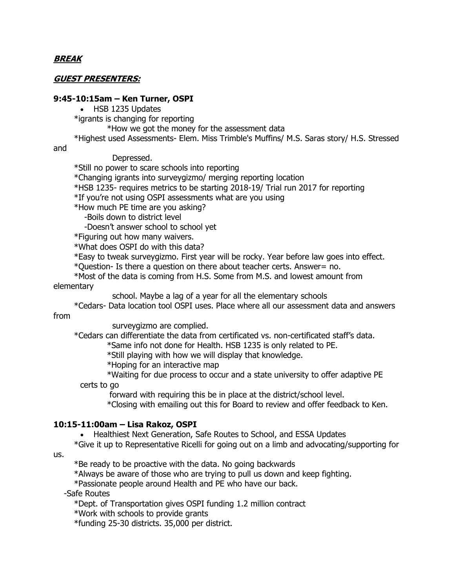## **BREAK**

## **GUEST PRESENTERS:**

#### **9:45-10:15am – Ken Turner, OSPI**

• HSB 1235 Updates

\*igrants is changing for reporting

\*How we got the money for the assessment data

\*Highest used Assessments- Elem. Miss Trimble's Muffins/ M.S. Saras story/ H.S. Stressed

and

Depressed.

\*Still no power to scare schools into reporting

\*Changing igrants into surveygizmo/ merging reporting location

\*HSB 1235- requires metrics to be starting 2018-19/ Trial run 2017 for reporting

\*If you're not using OSPI assessments what are you using

\*How much PE time are you asking?

-Boils down to district level

-Doesn't answer school to school yet

\*Figuring out how many waivers.

\*What does OSPI do with this data?

\*Easy to tweak surveygizmo. First year will be rocky. Year before law goes into effect.

\*Question- Is there a question on there about teacher certs. Answer= no.

\*Most of the data is coming from H.S. Some from M.S. and lowest amount from elementary

school. Maybe a lag of a year for all the elementary schools

\*Cedars- Data location tool OSPI uses. Place where all our assessment data and answers from

surveygizmo are complied.

\*Cedars can differentiate the data from certificated vs. non-certificated staff's data.

\*Same info not done for Health. HSB 1235 is only related to PE.

\*Still playing with how we will display that knowledge.

\*Hoping for an interactive map

\*Waiting for due process to occur and a state university to offer adaptive PE certs to go

forward with requiring this be in place at the district/school level.

\*Closing with emailing out this for Board to review and offer feedback to Ken.

#### **10:15-11:00am – Lisa Rakoz, OSPI**

• Healthiest Next Generation, Safe Routes to School, and ESSA Updates

\*Give it up to Representative Ricelli for going out on a limb and advocating/supporting for

us.

\*Be ready to be proactive with the data. No going backwards

\*Always be aware of those who are trying to pull us down and keep fighting.

\*Passionate people around Health and PE who have our back.

-Safe Routes

\*Dept. of Transportation gives OSPI funding 1.2 million contract

\*Work with schools to provide grants

\*funding 25-30 districts. 35,000 per district.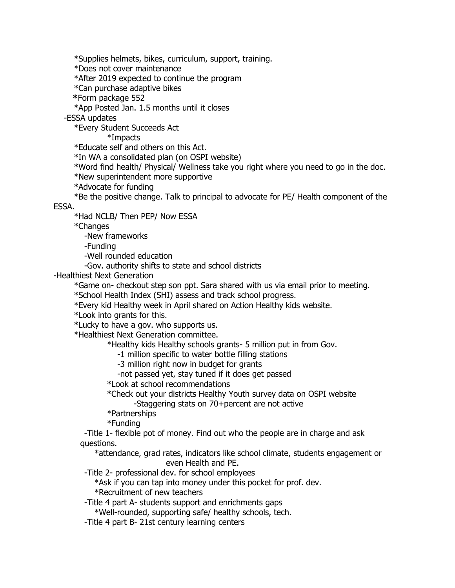\*Supplies helmets, bikes, curriculum, support, training.

\*Does not cover maintenance

\*After 2019 expected to continue the program

\*Can purchase adaptive bikes

**\***Form package 552

\*App Posted Jan. 1.5 months until it closes

-ESSA updates

\*Every Student Succeeds Act

\*Impacts

\*Educate self and others on this Act.

\*In WA a consolidated plan (on OSPI website)

\*Word find health/ Physical/ Wellness take you right where you need to go in the doc.

\*New superintendent more supportive

\*Advocate for funding

\*Be the positive change. Talk to principal to advocate for PE/ Health component of the

ESSA.

\*Had NCLB/ Then PEP/ Now ESSA

\*Changes

-New frameworks

-Funding

-Well rounded education

-Gov. authority shifts to state and school districts

-Healthiest Next Generation

\*Game on- checkout step son ppt. Sara shared with us via email prior to meeting.

\*School Health Index (SHI) assess and track school progress.

\*Every kid Healthy week in April shared on Action Healthy kids website.

\*Look into grants for this.

\*Lucky to have a gov. who supports us.

\*Healthiest Next Generation committee.

\*Healthy kids Healthy schools grants- 5 million put in from Gov.

-1 million specific to water bottle filling stations

-3 million right now in budget for grants

-not passed yet, stay tuned if it does get passed

\*Look at school recommendations

\*Check out your districts Healthy Youth survey data on OSPI website

-Staggering stats on 70+percent are not active

\*Partnerships

\*Funding

-Title 1- flexible pot of money. Find out who the people are in charge and ask questions.

\*attendance, grad rates, indicators like school climate, students engagement or even Health and PE.

-Title 2- professional dev. for school employees

\*Ask if you can tap into money under this pocket for prof. dev. \*Recruitment of new teachers

-Title 4 part A- students support and enrichments gaps

\*Well-rounded, supporting safe/ healthy schools, tech.

-Title 4 part B- 21st century learning centers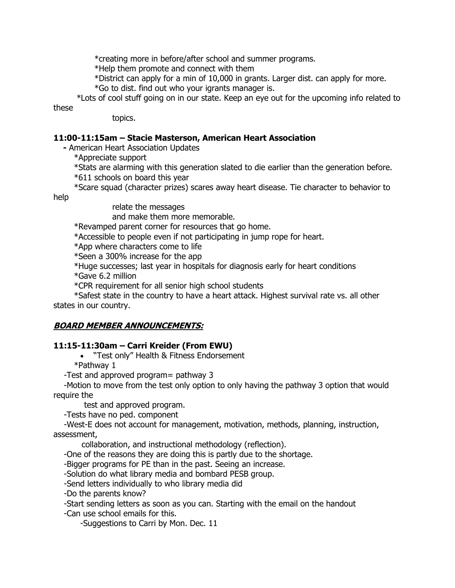\*creating more in before/after school and summer programs.

\*Help them promote and connect with them

\*District can apply for a min of 10,000 in grants. Larger dist. can apply for more.

\*Go to dist. find out who your igrants manager is.

 \*Lots of cool stuff going on in our state. Keep an eye out for the upcoming info related to these

topics.

# **11:00-11:15am – Stacie Masterson, American Heart Association**

**-** American Heart Association Updates

\*Appreciate support

\*Stats are alarming with this generation slated to die earlier than the generation before. \*611 schools on board this year

\*Scare squad (character prizes) scares away heart disease. Tie character to behavior to

help

relate the messages

and make them more memorable.

\*Revamped parent corner for resources that go home.

\*Accessible to people even if not participating in jump rope for heart.

\*App where characters come to life

\*Seen a 300% increase for the app

\*Huge successes; last year in hospitals for diagnosis early for heart conditions

\*Gave 6.2 million

\*CPR requirement for all senior high school students

\*Safest state in the country to have a heart attack. Highest survival rate vs. all other states in our country.

## **BOARD MEMBER ANNOUNCEMENTS:**

## **11:15-11:30am – Carri Kreider (From EWU)**

• "Test only" Health & Fitness Endorsement

\*Pathway 1

-Test and approved program= pathway 3

-Motion to move from the test only option to only having the pathway 3 option that would require the

test and approved program.

-Tests have no ped. component

-West-E does not account for management, motivation, methods, planning, instruction, assessment,

collaboration, and instructional methodology (reflection).

-One of the reasons they are doing this is partly due to the shortage.

-Bigger programs for PE than in the past. Seeing an increase.

-Solution do what library media and bombard PESB group.

-Send letters individually to who library media did

-Do the parents know?

-Start sending letters as soon as you can. Starting with the email on the handout

-Can use school emails for this.

-Suggestions to Carri by Mon. Dec. 11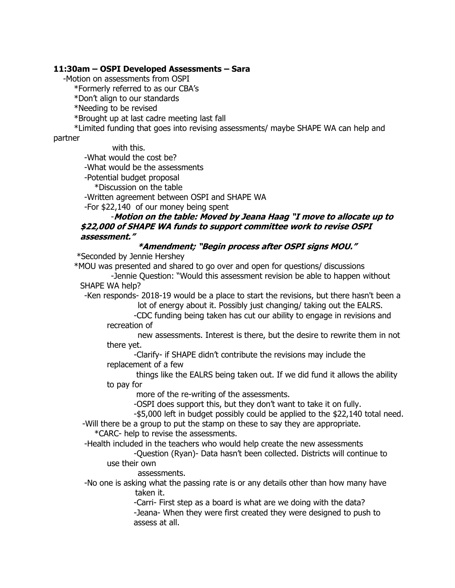#### **11:30am – OSPI Developed Assessments – Sara**

-Motion on assessments from OSPI

\*Formerly referred to as our CBA's

\*Don't align to our standards

\*Needing to be revised

\*Brought up at last cadre meeting last fall

\*Limited funding that goes into revising assessments/ maybe SHAPE WA can help and

#### partner

with this. -What would the cost be?

-What would be the assessments

-Potential budget proposal

\*Discussion on the table

-Written agreement between OSPI and SHAPE WA

-For \$22,140 of our money being spent

## -**Motion on the table: Moved by Jeana Haag "I move to allocate up to \$22,000 of SHAPE WA funds to support committee work to revise OSPI assessment."**

# **\*Amendment; "Begin process after OSPI signs MOU."**

\*Seconded by Jennie Hershey

\*MOU was presented and shared to go over and open for questions/ discussions

-Jennie Question: "Would this assessment revision be able to happen without SHAPE WA help?

-Ken responds- 2018-19 would be a place to start the revisions, but there hasn't been a lot of energy about it. Possibly just changing/ taking out the EALRS.

-CDC funding being taken has cut our ability to engage in revisions and recreation of

new assessments. Interest is there, but the desire to rewrite them in not there yet.

-Clarify- if SHAPE didn't contribute the revisions may include the replacement of a few

things like the EALRS being taken out. If we did fund it allows the ability to pay for

more of the re-writing of the assessments.

-OSPI does support this, but they don't want to take it on fully.

-\$5,000 left in budget possibly could be applied to the \$22,140 total need.

-Will there be a group to put the stamp on these to say they are appropriate. \*CARC- help to revise the assessments.

-Health included in the teachers who would help create the new assessments

-Question (Ryan)- Data hasn't been collected. Districts will continue to use their own

assessments.

-No one is asking what the passing rate is or any details other than how many have taken it.

-Carri- First step as a board is what are we doing with the data? -Jeana- When they were first created they were designed to push to assess at all.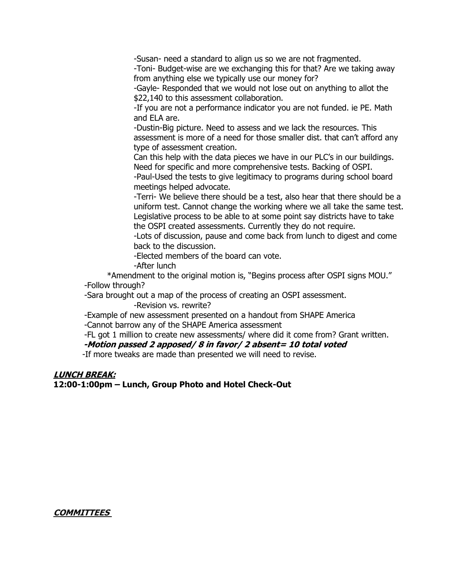-Susan- need a standard to align us so we are not fragmented.

-Toni- Budget-wise are we exchanging this for that? Are we taking away from anything else we typically use our money for?

-Gayle- Responded that we would not lose out on anything to allot the \$22,140 to this assessment collaboration.

-If you are not a performance indicator you are not funded. ie PE. Math and ELA are.

-Dustin-Big picture. Need to assess and we lack the resources. This assessment is more of a need for those smaller dist. that can't afford any type of assessment creation.

Can this help with the data pieces we have in our PLC's in our buildings. Need for specific and more comprehensive tests. Backing of OSPI.

-Paul-Used the tests to give legitimacy to programs during school board meetings helped advocate.

-Terri- We believe there should be a test, also hear that there should be a uniform test. Cannot change the working where we all take the same test. Legislative process to be able to at some point say districts have to take the OSPI created assessments. Currently they do not require.

-Lots of discussion, pause and come back from lunch to digest and come back to the discussion.

-Elected members of the board can vote.

-After lunch

\*Amendment to the original motion is, "Begins process after OSPI signs MOU." -Follow through?

-Sara brought out a map of the process of creating an OSPI assessment. -Revision vs. rewrite?

-Example of new assessment presented on a handout from SHAPE America -Cannot barrow any of the SHAPE America assessment

-FL got 1 million to create new assessments/ where did it come from? Grant written.

## **-Motion passed 2 apposed/ 8 in favor/ 2 absent= 10 total voted**

-If more tweaks are made than presented we will need to revise.

#### **LUNCH BREAK:**

**12:00-1:00pm – Lunch, Group Photo and Hotel Check-Out**

## **COMMITTEES**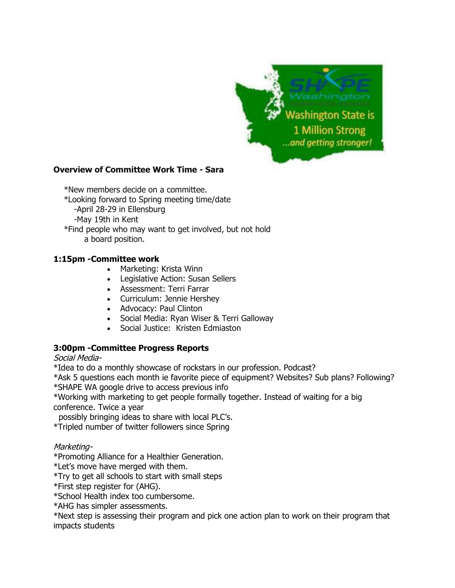

## **Overview of Committee Work Time - Sara**

\*New members decide on a committee. \*Looking forward to Spring meeting time/date -April 28-29 in Ellensburg -May 19th in Kent \*Find people who may want to get involved, but not hold a board position.

## **1:15pm -Committee work**

- Marketing: Krista Winn
- Legislative Action: Susan Sellers
- Assessment: Terri Farrar
- Curriculum: Jennie Hershey
- Advocacy: Paul Clinton
- Social Media: Ryan Wiser & Terri Galloway
- Social Justice: Kristen Edmiaston

## **3:00pm -Committee Progress Reports**

## Social Media-

\*Idea to do a monthly showcase of rockstars in our profession. Podcast?

\*Ask 5 questions each month ie favorite piece of equipment? Websites? Sub plans? Following? \*SHAPE WA google drive to access previous info

\*Working with marketing to get people formally together. Instead of waiting for a big conference. Twice a year

possibly bringing ideas to share with local PLC's.

\*Tripled number of twitter followers since Spring

## Marketing-

\*Promoting Alliance for a Healthier Generation.

\*Let's move have merged with them.

\*Try to get all schools to start with small steps

\*First step register for (AHG).

\*School Health index too cumbersome.

\*AHG has simpler assessments.

\*Next step is assessing their program and pick one action plan to work on their program that impacts students